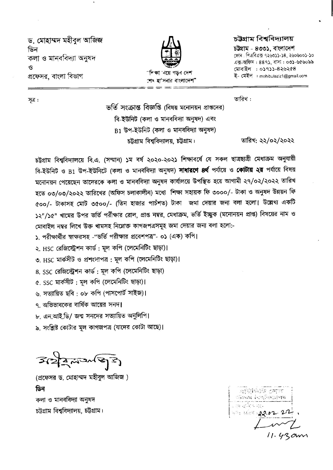ড, মোহাম্মদ মহীবল আজিজ ডিন কলা ও মানববিদ্যা অনুষদ  $\mathbf{P}$ প্রফেসর, বাংলা বিভাগ



"শিক্ষা 'নয়ে গডব দেশ শেষ হা'সনার বাংলাদেশ"

### চউগ্ৰাম বিশ্ববিদ্যালয়

চউগ্ৰাম - ৪৩৩১. বাংলাদেশ ফোন: পিএবিএক ৭২৬৩১১-১৪, ২৬০৬০০১-১০ এক্স-অফিস: ৪৪৭১, বাসা: ০৩১-৬৫৬০৯৯ মোবাইল : ০১৭১১-৪২৬২৫৪ ই- মেইল : mohibulaziz1@gmail.com

তারিখ: ২২/০২/২০২২

সত্ৰ :

তারিখ:

ভর্তি সংক্রান্ত বিজ্ঞপ্তি (বিষয় মনোনয়ন প্রাপ্তদের) বি-ইউনিট (কলা ও মানববিদ্যা অনুষদ) এবং  $B1$  উপ-ইউনিট (কলা ও মানববিদ্যা অনুষদ) চট্টগ্রাম বিশ্ববিদ্যালয়, চট্টগ্রাম।

চট্টগ্রাম বিশ্ববিদ্যালয়ে বি.এ. (সম্মান) ১ম বর্ষ ২০২০-২০২১ শিক্ষাবর্ষে যে সকল ছাত্রছাত্রী মেধাক্রম অনুযায়ী বি-ইউনিট ও B1 উপ-ইউনিটে (কলা ও মানববিদ্যা অনুষদ) **সাধারণে ৪র্থ** পর্যায়ে ও **কোটায় ২য়** পর্যায়ে বিষয় মনোনয়ন পেয়েছেন তাদেরকে কলা ও মানববিদ্যা অনুষদ কার্যালয়ে উপস্থিত হয়ে আগামী ২৭/০২/২০২২ তারিখ হতে ০৩/০৩/২০২২ তারিখের (অফিস চলাকালীন) মধ্যে শিক্ষা সহায়ক ফি ৩০০০/- টাকা ও অনুষদ উন্নয়ন ফি ৫০০/- টাকাসহ মোট ৩৫০০/- (তিন হাজার পাচঁশত) টাকা জমা দেয়ার জন্য বলা হলো। উল্লেখ্য একটি ১২"/১৫" খামের উপর ভর্তি পরীক্ষার রোল, প্রাপ্ত নম্বর, মেধাক্রম, ভর্তি ইচ্ছুক (মনোনয়ন প্রাপ্ত) বিষয়ের নাম ও মোবাইল নম্বর লিখে উক্ত খামসহ নিম্নোক্ত কাগজপত্রসমূহ জমা দেয়ার জন্য বলা হলো:-

১. পরীক্ষার্থীর স্বাক্ষরসহ -"ভর্তি পরীক্ষার প্রবেশপত্র"- ০১ (এক) কপি।

২. HSC রেজিস্ট্রেশন কার্ড : মূল কপি (লেমেনিটিং ছাড়া)।

৩. HSC মার্কসীট ও প্রশংসাপত্র: মূল কপি (লেমেনিটিং ছাড়া)।

৪. SSC রেজিস্ট্রেশন কার্ড : মূল কপি (লেমেনিটিং ছাড়া)

৫. SSC মার্কসীট: মূল কপি (লেমেনিটিং ছাড়া)।

৬, সত্যায়িত ছবি : ০৮ কপি (পাসপোর্ট সাইজ)।

৭ অভিভাবকের বার্ষিক আয়ের সনদ।

৮. এন.আই.ডি/ জন্ম সনদের সত্যায়িত অনুলিপি।

৯, সংশ্লিষ্ট কোটার মূল কাগজপত্র (যাদের কোটা আছে)।

 $3227272733$ 

(প্রফেসর ড. মোহাম্মদ মহীবুল আজিজ) ডিন কলা ও মানববিদ্যা অনুষদ চট্টগ্রাম বিশ্ববিদ্যালয়, চট্টগ্রাম।

|      | $\sim$ | $\cdot$  |  |
|------|--------|----------|--|
|      |        | ান্দায়  |  |
| 1.11 |        |          |  |
| н.   |        | 22.82.22 |  |
|      |        |          |  |
|      |        |          |  |

 $11.43cm$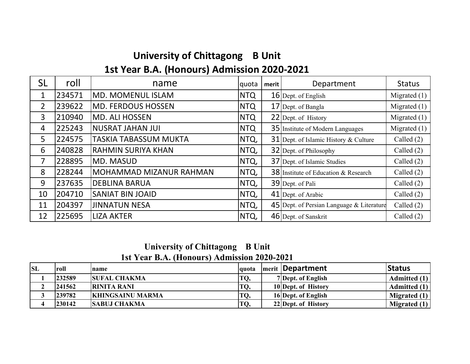# **University of Chittagong B Unit 1st Year B.A. (Honours) Admission 2020‐2021**

| <b>SL</b>      | roll   | name                         | quota      | merit | Department                                  | <b>Status</b>  |
|----------------|--------|------------------------------|------------|-------|---------------------------------------------|----------------|
| 1              | 234571 | <b>MD. MOMENUL ISLAM</b>     | <b>NTQ</b> |       | 16 Dept. of English                         | Migrated $(1)$ |
| $\overline{2}$ | 239622 | <b>MD. FERDOUS HOSSEN</b>    | <b>NTQ</b> |       | 17 Dept. of Bangla                          | Migrated $(1)$ |
| 3              | 210940 | <b>MD. ALI HOSSEN</b>        | <b>NTQ</b> |       | 22 Dept. of History                         | Migrated $(1)$ |
| 4              | 225243 | <b>NUSRAT JAHAN JUI</b>      | <b>NTQ</b> |       | <b>35</b> Institute of Modern Languages     | Migrated $(1)$ |
| 5              | 224575 | <b>TASKIA TABASSUM MUKTA</b> | NTQ,       |       | 31 Dept. of Islamic History & Culture       | Called $(2)$   |
| 6              | 240828 | <b>RAHMIN SURIYA KHAN</b>    | NTQ,       |       | 32 Dept. of Philosophy                      | Called $(2)$   |
| 7              | 228895 | MD. MASUD                    | NTQ,       |       | 37 Dept. of Islamic Studies                 | Called $(2)$   |
| 8              | 228244 | MOHAMMAD MIZANUR RAHMAN      | NTQ,       |       | <b>38</b> Institute of Education & Research | Called $(2)$   |
| 9              | 237635 | <b>DEBLINA BARUA</b>         | NTQ,       |       | 39 Dept. of Pali                            | Called $(2)$   |
| 10             | 204710 | <b>SANIAT BIN JOAID</b>      | NTQ,       |       | 41 Dept. of Arabic                          | Called $(2)$   |
| 11             | 204397 | <b>JINNATUN NESA</b>         | NTQ,       |       | 45 Dept. of Persian Language $&$ Literature | Called $(2)$   |
| 12             | 225695 | <b>LIZA AKTER</b>            | NTQ,       |       | 46 Dept. of Sanskrit                        | Called $(2)$   |

**University of Chittagong B Unit 1st Year B.A. (Honours) Admission 2020-2021** 

| <b>SL</b> | roll   | name                    | lauota | <b>Imerit   Department</b> | <b>Status</b>  |
|-----------|--------|-------------------------|--------|----------------------------|----------------|
|           | 232589 | <b>SUFAL CHAKMA</b>     | TQ,    | 7 Dept. of English         | Admitted (1)   |
|           | 241562 | <b>RINITA RANI</b>      | TQ,    | 10 Dept. of History        | Admitted (1)   |
|           | 239782 | <b>KHINGSAINU MARMA</b> | TQ,    | 16 Dept. of English        | Migrated $(1)$ |
|           | 230142 | <b>SABUJ CHAKMA</b>     | TQ,    | 22 Dept. of History        | Migrated $(1)$ |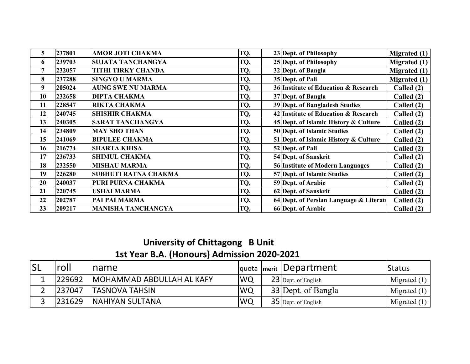| 5  | 237801 | <b>AMOR JOTI CHAKMA</b>   | TQ, | 23 Dept. of Philosophy                 | Migrated $(1)$      |
|----|--------|---------------------------|-----|----------------------------------------|---------------------|
| 6  | 239703 | SUJATA TANCHANGYA         | TQ, | 25 Dept. of Philosophy                 | Migrated $(1)$      |
| 7  | 232057 | <b>TITHI TIRKY CHANDA</b> | TQ, | 32 Dept. of Bangla                     | <b>Migrated</b> (1) |
| 8  | 237288 | <b>SINGYO U MARMA</b>     | TQ, | 35 Dept. of Pali                       | <b>Migrated (1)</b> |
| 9  | 205024 | <b>AUNG SWE NU MARMA</b>  | TQ, | 36 Institute of Education & Research   | Called (2)          |
| 10 | 232658 | <b>DIPTA CHAKMA</b>       | TQ, | 37 Dept. of Bangla                     | Called (2)          |
| 11 | 228547 | <b>RIKTA CHAKMA</b>       | TQ, | 39 Dept. of Bangladesh Studies         | Called (2)          |
| 12 | 240745 | <b>SHISHIR CHAKMA</b>     | TQ, | 42 Institute of Education & Research   | Called (2)          |
| 13 | 240305 | <b>SARAT TANCHANGYA</b>   | TQ, | 45 Dept. of Islamic History & Culture  | Called (2)          |
| 14 | 234809 | <b>MAY SHO THAN</b>       | TQ, | 50 Dept. of Islamic Studies            | Called (2)          |
| 15 | 241069 | <b>BIPULEE CHAKMA</b>     | TQ, | 51 Dept. of Islamic History & Culture  | Called (2)          |
| 16 | 216774 | <b>SHARTA KHISA</b>       | TQ, | 52 Dept. of Pali                       | Called (2)          |
| 17 | 236733 | <b>SHIMUL CHAKMA</b>      | TQ, | 54 Dept. of Sanskrit                   | Called (2)          |
| 18 | 232550 | <b>MISHAU MARMA</b>       | TQ, | 56 Institute of Modern Languages       | Called (2)          |
| 19 | 226280 | SUBHUTI RATNA CHAKMA      | TQ, | 57 Dept. of Islamic Studies            | Called (2)          |
| 20 | 240037 | PURI PURNA CHAKMA         | TQ, | 59 Dept. of Arabic                     | Called (2)          |
| 21 | 220745 | <b>USHAI MARMA</b>        | TQ, | 62 Dept. of Sanskrit                   | Called (2)          |
| 22 | 202787 | PAI PAI MARMA             | TQ, | 64 Dept. of Persian Language & Literat | Called (2)          |
| 23 | 209217 | <b>MANISHA TANCHANGYA</b> | TQ, | 66 Dept. of Arabic                     | Called $(2)$        |

## **University of Chittagong B Unit 1st Year B.A. (Honours) Admission 2020‐2021**

| <b>SL</b> | roll    | <b>Iname</b>              |            | quota merit Department | <b>Status</b>  |
|-----------|---------|---------------------------|------------|------------------------|----------------|
|           | 229692  | MOHAMMAD ABDULLAH AL KAFY | <b>IWQ</b> | 23 Dept. of English    | Migrated $(1)$ |
|           | 1237047 | <b>ITASNOVA TAHSIN</b>    | <b>WQ</b>  | 33 Dept. of Bangla     | Migrated $(1)$ |
|           | 231629  | <b>INAHIYAN SULTANA</b>   | <b>IWQ</b> | $35$ Dept. of English  | Migrated $(1)$ |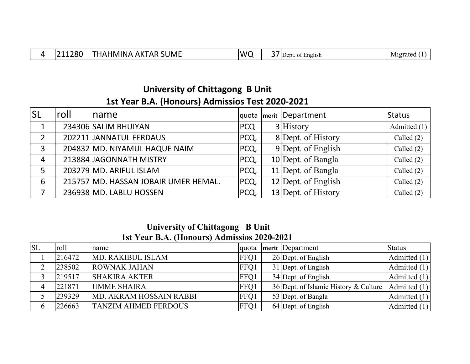|  | L280<br>. . | <b>SUME</b><br>AК<br>HMINA<br>AR.<br>$\mathbf{A}$<br>$\mathsf{H}$ | MC | $-$ | $\sim$ $-$<br>Jept<br>English<br>OТ | M1grate |
|--|-------------|-------------------------------------------------------------------|----|-----|-------------------------------------|---------|
|--|-------------|-------------------------------------------------------------------|----|-----|-------------------------------------|---------|

### **University of Chittagong B Unit 1st Year B.A. (Honours) Admissios Test 2020‐2021**

| <b>SL</b>      | roll | Iname                                |            | quota   merit   Department | <b>Status</b> |
|----------------|------|--------------------------------------|------------|----------------------------|---------------|
|                |      | 234306 SALIM BHUIYAN                 | <b>PCQ</b> | 3 History                  | Admitted (1)  |
| $\overline{2}$ |      | 202211 JANNATUL FERDAUS              | PCQ,       | 8 Dept. of History         | Called $(2)$  |
| 3              |      | 204832 MD. NIYAMUL HAQUE NAIM        | PCQ,       | 9 Dept. of English         | Called $(2)$  |
| 4              |      | 213884 JAGONNATH MISTRY              | PCQ,       | $10$ Dept. of Bangla       | Called $(2)$  |
| 5              |      | 203279 MD. ARIFUL ISLAM              | PCQ,       | $11$ Dept. of Bangla       | Called $(2)$  |
| 6              |      | 215757 MD. HASSAN JOBAIR UMER HEMAL. | PCQ,       | 12 Dept. of English        | Called $(2)$  |
|                |      | 236938 MD. LABLU HOSSEN              | PCQ,       | 13 Dept. of History        | Called (2)    |

#### **University of Chittagong B Unit 1st Year B.A. (Honours) Admissios 2020-2021**

| <b>SL</b> | roll   | name                        | <b>quota</b> | merit Department                                     | <b>Status</b>  |
|-----------|--------|-----------------------------|--------------|------------------------------------------------------|----------------|
|           | 216472 | MD. RAKIBUL ISLAM           | FFO1         | 26 Dept. of English                                  | Admitted $(1)$ |
|           | 238502 | <b>ROWNAK JAHAN</b>         | FFQ1         | 31 Dept. of English                                  | Admitted $(1)$ |
|           | 219517 | <b>SHAKIRA AKTER</b>        | FFO1         | $34$ Dept. of English                                | Admitted $(1)$ |
|           | 221871 | <b>UMME SHAIRA</b>          | FFO1         | 36 Dept. of Islamic History & Culture   Admitted (1) |                |
|           | 239329 | MD. AKRAM HOSSAIN RABBI     | FFO1         | 53 Dept. of Bangla                                   | Admitted $(1)$ |
| 6         | 226663 | <b>TANZIM AHMED FERDOUS</b> | FFO1         | $64$ Dept. of English                                | Admitted $(1)$ |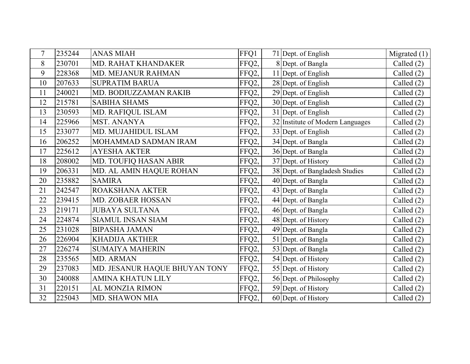| 7  | 235244 | <b>ANAS MIAH</b>              | FFQ1  | 71 Dept. of English              | Migrated $(1)$ |
|----|--------|-------------------------------|-------|----------------------------------|----------------|
| 8  | 230701 | MD. RAHAT KHANDAKER           | FFQ2, | 8 Dept. of Bangla                | Called $(2)$   |
| 9  | 228368 | <b>MD. MEJANUR RAHMAN</b>     | FFQ2, | 11 Dept. of English              | Called $(2)$   |
| 10 | 207633 | <b>SUPRATIM BARUA</b>         | FFQ2, | 28 Dept. of English              | Called $(2)$   |
| 11 | 240021 | MD. BODIUZZAMAN RAKIB         | FFQ2, | 29 Dept. of English              | Called (2)     |
| 12 | 215781 | <b>SABIHA SHAMS</b>           | FFQ2, | 30 Dept. of English              | Called $(2)$   |
| 13 | 230593 | MD. RAFIQUL ISLAM             | FFQ2, | 31 Dept. of English              | Called (2)     |
| 14 | 225966 | <b>MST. ANANYA</b>            | FFQ2, | 32 Institute of Modern Languages | Called (2)     |
| 15 | 233077 | MD. MUJAHIDUL ISLAM           | FFQ2, | 33 Dept. of English              | Called $(2)$   |
| 16 | 206252 | MOHAMMAD SADMAN IRAM          | FFQ2, | 34 Dept. of Bangla               | Called $(2)$   |
| 17 | 225612 | <b>AYESHA AKTER</b>           | FFQ2, | 36 Dept. of Bangla               | Called $(2)$   |
| 18 | 208002 | MD. TOUFIQ HASAN ABIR         | FFQ2, | 37 Dept. of History              | Called $(2)$   |
| 19 | 206331 | MD. AL AMIN HAQUE ROHAN       | FFQ2, | 38 Dept. of Bangladesh Studies   | Called (2)     |
| 20 | 235882 | <b>SAMIRA</b>                 | FFQ2, | 40 Dept. of Bangla               | Called (2)     |
| 21 | 242547 | ROAKSHANA AKTER               | FFQ2, | 43 Dept. of Bangla               | Called (2)     |
| 22 | 239415 | MD. ZOBAER HOSSAN             | FFQ2, | 44 Dept. of Bangla               | Called (2)     |
| 23 | 219171 | <b>JUBAYA SULTANA</b>         | FFQ2, | 46 Dept. of Bangla               | Called (2)     |
| 24 | 224874 | <b>SIAMUL INSAN SIAM</b>      | FFQ2, | 48 Dept. of History              | Called $(2)$   |
| 25 | 231028 | <b>BIPASHA JAMAN</b>          | FFQ2, | 49 Dept. of Bangla               | Called $(2)$   |
| 26 | 226904 | <b>KHADIJA AKTHER</b>         | FFQ2, | 51 Dept. of Bangla               | Called (2)     |
| 27 | 226274 | <b>SUMAIYA MAHERIN</b>        | FFQ2, | 53 Dept. of Bangla               | Called (2)     |
| 28 | 235565 | MD. ARMAN                     | FFQ2, | 54 Dept. of History              | Called $(2)$   |
| 29 | 237083 | MD. JESANUR HAQUE BHUYAN TONY | FFQ2, | 55 Dept. of History              | Called $(2)$   |
| 30 | 240088 | <b>AMINA KHATUN LILY</b>      | FFQ2, | 56 Dept. of Philosophy           | Called (2)     |
| 31 | 220151 | AL MONZIA RIMON               | FFQ2, | 59 Dept. of History              | Called $(2)$   |
| 32 | 225043 | MD. SHAWON MIA                | FFQ2, | 60 Dept. of History              | Called $(2)$   |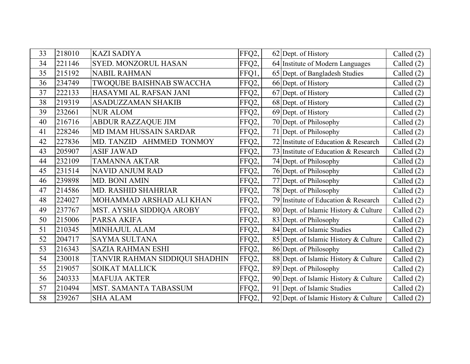| 33 | 218010 | <b>KAZI SADIYA</b>             | FFQ2, | 62 Dept. of History                   | Called $(2)$ |
|----|--------|--------------------------------|-------|---------------------------------------|--------------|
| 34 | 221146 | <b>SYED. MONZORUL HASAN</b>    | FFQ2, | 64 Institute of Modern Languages      | Called $(2)$ |
| 35 | 215192 | <b>NABIL RAHMAN</b>            | FFQ1, | 65 Dept. of Bangladesh Studies        | Called $(2)$ |
| 36 | 234749 | TWOQUBE BAISHNAB SWACCHA       | FFQ2, | 66 Dept. of History                   | Called $(2)$ |
| 37 | 222133 | HASAYMI AL RAFSAN JANI         | FFQ2, | 67 Dept. of History                   | Called (2)   |
| 38 | 219319 | <b>ASADUZZAMAN SHAKIB</b>      | FFQ2, | 68 Dept. of History                   | Called (2)   |
| 39 | 232661 | <b>NUR ALOM</b>                | FFQ2, | 69 Dept. of History                   | Called $(2)$ |
| 40 | 216716 | <b>ABDUR RAZZAQUE JIM</b>      | FFQ2, | 70 Dept. of Philosophy                | Called $(2)$ |
| 41 | 228246 | <b>MD IMAM HUSSAIN SARDAR</b>  | FFQ2, | 71 Dept. of Philosophy                | Called (2)   |
| 42 | 227836 | MD. TANZID AHMMED TONMOY       | FFQ2, | 72 Institute of Education & Research  | Called $(2)$ |
| 43 | 205907 | <b>ASIF JAWAD</b>              | FFQ2, | 73 Institute of Education & Research  | Called $(2)$ |
| 44 | 232109 | <b>TAMANNA AKTAR</b>           | FFQ2, | 74 Dept. of Philosophy                | Called $(2)$ |
| 45 | 231514 | <b>NAVID ANJUM RAD</b>         | FFQ2, | 76 Dept. of Philosophy                | Called $(2)$ |
| 46 | 239898 | <b>MD. BONI AMIN</b>           | FFQ2, | 77 Dept. of Philosophy                | Called (2)   |
| 47 | 214586 | <b>MD. RASHID SHAHRIAR</b>     | FFQ2, | 78 Dept. of Philosophy                | Called $(2)$ |
| 48 | 224027 | MOHAMMAD ARSHAD ALI KHAN       | FFQ2, | 79 Institute of Education & Research  | Called (2)   |
| 49 | 237767 | MST. AYSHA SIDDIQA AROBY       | FFQ2, | 80 Dept. of Islamic History & Culture | Called (2)   |
| 50 | 215006 | PARSA AKIFA                    | FFQ2, | 83 Dept. of Philosophy                | Called $(2)$ |
| 51 | 210345 | <b>MINHAJUL ALAM</b>           | FFQ2, | 84 Dept. of Islamic Studies           | Called $(2)$ |
| 52 | 204717 | <b>SAYMA SULTANA</b>           | FFQ2, | 85 Dept. of Islamic History & Culture | Called $(2)$ |
| 53 | 216343 | <b>SAZIA RAHMAN ESHI</b>       | FFQ2, | 86 Dept. of Philosophy                | Called (2)   |
| 54 | 230018 | TANVIR RAHMAN SIDDIQUI SHADHIN | FFQ2, | 88 Dept. of Islamic History & Culture | Called (2)   |
| 55 | 219057 | <b>SOIKAT MALLICK</b>          | FFQ2, | 89 Dept. of Philosophy                | Called $(2)$ |
| 56 | 240333 | <b>MAFUJA AKTER</b>            | FFQ2, | 90 Dept. of Islamic History & Culture | Called $(2)$ |
| 57 | 210494 | MST. SAMANTA TABASSUM          | FFQ2, | 91 Dept. of Islamic Studies           | Called (2)   |
| 58 | 239267 | <b>SHA ALAM</b>                | FFQ2, | 92 Dept. of Islamic History & Culture | Called $(2)$ |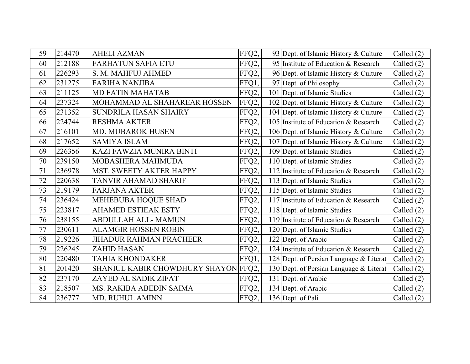| 59 | 214470 | <b>AHELI AZMAN</b>                   | FFQ2, | 93 Dept. of Islamic History & Culture   | Called (2)   |
|----|--------|--------------------------------------|-------|-----------------------------------------|--------------|
| 60 | 212188 | <b>FARHATUN SAFIA ETU</b>            | FFQ2, | 95 Institute of Education & Research    | Called $(2)$ |
| 61 | 226293 | S. M. MAHFUJ AHMED                   | FFQ2, | 96 Dept. of Islamic History & Culture   | Called $(2)$ |
| 62 | 231275 | <b>FARIHA NANJIBA</b>                | FFQ1, | 97 Dept. of Philosophy                  | Called (2)   |
| 63 | 211125 | <b>MD FATIN MAHATAB</b>              | FFQ2, | 101 Dept. of Islamic Studies            | Called (2)   |
| 64 | 237324 | MOHAMMAD AL SHAHAREAR HOSSEN         | FFQ2, | 102 Dept. of Islamic History & Culture  | Called (2)   |
| 65 | 231352 | SUNDRILA HASAN SHAIRY                | FFQ2, | 104 Dept. of Islamic History & Culture  | Called (2)   |
| 66 | 224744 | <b>RESHMA AKTER</b>                  | FFQ2, | 105 Institute of Education & Research   | Called (2)   |
| 67 | 216101 | MD. MUBAROK HUSEN                    | FFQ2, | 106 Dept. of Islamic History & Culture  | Called (2)   |
| 68 | 217652 | <b>SAMIYA ISLAM</b>                  | FFQ2, | 107 Dept. of Islamic History & Culture  | Called (2)   |
| 69 | 226356 | KAZI FAWZIA MUNIRA BINTI             | FFQ2, | 109 Dept. of Islamic Studies            | Called $(2)$ |
| 70 | 239150 | MOBASHERA MAHMUDA                    | FFQ2, | 110 Dept. of Islamic Studies            | Called $(2)$ |
| 71 | 236978 | MST. SWEETY AKTER HAPPY              | FFQ2, | 112 Institute of Education & Research   | Called $(2)$ |
| 72 | 220638 | <b>TANVIR AHAMAD SHARIF</b>          | FFQ2, | 113 Dept. of Islamic Studies            | Called (2)   |
| 73 | 219179 | <b>FARJANA AKTER</b>                 | FFQ2, | 115 Dept. of Islamic Studies            | Called (2)   |
| 74 | 236424 | MEHEBUBA HOQUE SHAD                  | FFQ2, | 117 Institute of Education & Research   | Called (2)   |
| 75 | 223817 | <b>AHAMED ESTIEAK ESTY</b>           | FFQ2, | 118 Dept. of Islamic Studies            | Called $(2)$ |
| 76 | 238155 | ABDULLAH ALL-MAMUN                   | FFQ2, | 119 Institute of Education & Research   | Called $(2)$ |
| 77 | 230611 | <b>ALAMGIR HOSSEN ROBIN</b>          | FFQ2, | 120 Dept. of Islamic Studies            | Called $(2)$ |
| 78 | 219226 | <b>JIHADUR RAHMAN PRACHEER</b>       | FFQ2, | 122 Dept. of Arabic                     | Called $(2)$ |
| 79 | 226245 | <b>ZAHID HASAN</b>                   | FFQ2, | 124 Institute of Education & Research   | Called $(2)$ |
| 80 | 220480 | <b>TAHIA KHONDAKER</b>               | FFQ1, | 128 Dept. of Persian Language & Literat | Called (2)   |
| 81 | 201420 | SHANIUL KABIR CHOWDHURY SHAYON FFQ2, |       | 130 Dept. of Persian Language & Literat | Called (2)   |
| 82 | 237170 | ZAYED AL SADIK ZIFAT                 | FFQ2, | 131 Dept. of Arabic                     | Called (2)   |
| 83 | 218507 | MS. RAKIBA ABEDIN SAIMA              | FFQ2, | 134 Dept. of Arabic                     | Called $(2)$ |
| 84 | 236777 | <b>MD. RUHUL AMINN</b>               | FFQ2, | 136 Dept. of Pali                       | Called $(2)$ |